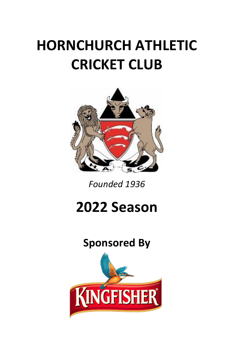# **HORNCHURCH ATHLETIC CRICKET CLUB**



*Founded 1936*

# **2022 Season**

# **Sponsored By**

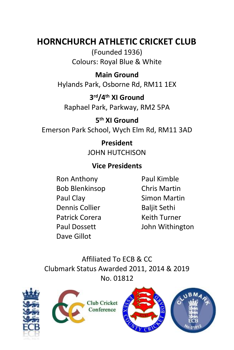## **HORNCHURCH ATHLETIC CRICKET CLUB**

(Founded 1936) Colours: Royal Blue & White

### **Main Ground**

Hylands Park, Osborne Rd, RM11 1EX

### **3 rd/4th XI Ground**

Raphael Park, Parkway, RM2 5PA

**5 th XI Ground** Emerson Park School, Wych Elm Rd, RM11 3AD

> **President** JOHN HUTCHISON

### **Vice Presidents**

Ron Anthony Paul Kimble Bob Blenkinsop Chris Martin Paul Clay Simon Martin Dennis Collier Baliit Sethi Patrick Corera Keith Turner Dave Gillot

Paul Dossett John Withington

Affiliated To ECB & CC Clubmark Status Awarded 2011, 2014 & 2019 No. 01812







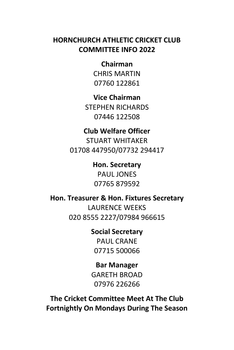### **HORNCHURCH ATHLETIC CRICKET CLUB COMMITTEE INFO 2022**

**Chairman** CHRIS MARTIN 07760 122861

**Vice Chairman** STEPHEN RICHARDS 07446 122508

### **Club Welfare Officer** STUART WHITAKER 01708 447950/07732 294417

**Hon. Secretary** PAUL **JONES** 07765 879592

**Hon. Treasurer & Hon. Fixtures Secretary** LAURENCE WEEKS 020 8555 2227/07984 966615

> **Social Secretary** PAUL CRANE 07715 500066

**Bar Manager**  GARETH BROAD 07976 226266

**The Cricket Committee Meet At The Club Fortnightly On Mondays During The Season**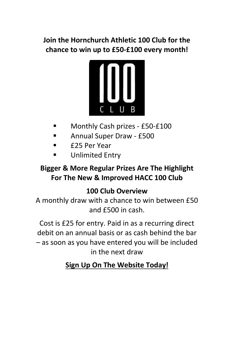### **Join the Hornchurch Athletic 100 Club for the chance to win up to £50-£100 every month!**



- Monthly Cash prizes £50-£100
- Annual Super Draw £500
- £25 Per Year
- **Unlimited Entry**

### **Bigger & More Regular Prizes Are The Highlight For The New & Improved HACC 100 Club**

### **100 Club Overview**

A monthly draw with a chance to win between £50 and £500 in cash.

Cost is £25 for entry. Paid in as a recurring direct debit on an annual basis or as cash behind the bar – as soon as you have entered you will be included in the next draw

### **Sign Up On The Website Today!**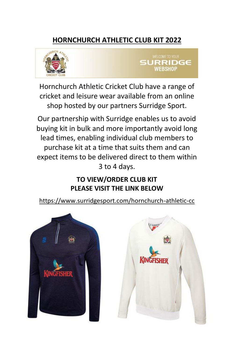### **HORNCHURCH ATHLETIC CLUB KIT 2022**





Hornchurch Athletic Cricket Club have a range of cricket and leisure wear available from an online shop hosted by our partners Surridge Sport.

Our partnership with Surridge enables us to avoid buying kit in bulk and more importantly avoid long lead times, enabling individual club members to purchase kit at a time that suits them and can expect items to be delivered direct to them within 3 to 4 days.

### **TO VIEW/ORDER CLUB KIT PLEASE VISIT THE LINK BELOW**

<https://www.surridgesport.com/hornchurch-athletic-cc>



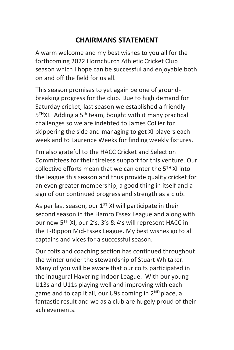### **CHAIRMANS STATEMENT**

A warm welcome and my best wishes to you all for the forthcoming 2022 Hornchurch Athletic Cricket Club season which I hope can be successful and enjoyable both on and off the field for us all.

This season promises to yet again be one of groundbreaking progress for the club. Due to high demand for Saturday cricket, last season we established a friendly 5 THXI. Adding a 5th team, bought with it many practical challenges so we are indebted to James Collier for skippering the side and managing to get XI players each week and to Laurence Weeks for finding weekly fixtures.

I'm also grateful to the HACC Cricket and Selection Committees for their tireless support for this venture. Our collective efforts mean that we can enter the 5TH XI into the league this season and thus provide quality cricket for an even greater membership, a good thing in itself and a sign of our continued progress and strength as a club.

As per last season, our  $1^{ST}$  XI will participate in their second season in the Hamro Essex League and along with our new 5TH XI, our 2's, 3's & 4's will represent HACC in the T-Rippon Mid-Essex League. My best wishes go to all captains and vices for a successful season.

Our colts and coaching section has continued throughout the winter under the stewardship of Stuart Whitaker. Many of you will be aware that our colts participated in the inaugural Havering Indoor League. With our young U13s and U11s playing well and improving with each game and to cap it all, our U9s coming in 2<sup>ND</sup> place, a fantastic result and we as a club are hugely proud of their achievements.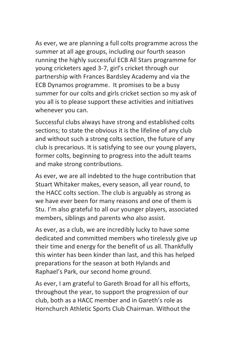As ever, we are planning a full colts programme across the summer at all age groups, including our fourth season running the highly successful ECB All Stars programme for young cricketers aged 3-7, girl's cricket through our partnership with Frances Bardsley Academy and via the ECB Dynamos programme. It promises to be a busy summer for our colts and girls cricket section so my ask of you all is to please support these activities and initiatives whenever you can.

Successful clubs always have strong and established colts sections; to state the obvious it is the lifeline of any club and without such a strong colts section, the future of any club is precarious. It is satisfying to see our young players, former colts, beginning to progress into the adult teams and make strong contributions.

As ever, we are all indebted to the huge contribution that Stuart Whitaker makes, every season, all year round, to the HACC colts section. The club is arguably as strong as we have ever been for many reasons and one of them is Stu. I'm also grateful to all our younger players, associated members, siblings and parents who also assist.

As ever, as a club, we are incredibly lucky to have some dedicated and committed members who tirelessly give up their time and energy for the benefit of us all. Thankfully this winter has been kinder than last, and this has helped preparations for the season at both Hylands and Raphael's Park, our second home ground.

As ever, I am grateful to Gareth Broad for all his efforts, throughout the year, to support the progression of our club, both as a HACC member and in Gareth's role as Hornchurch Athletic Sports Club Chairman. Without the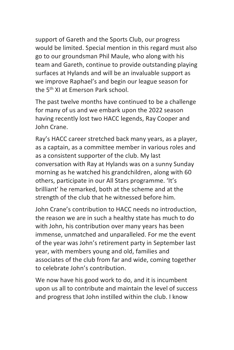support of Gareth and the Sports Club, our progress would be limited. Special mention in this regard must also go to our groundsman Phil Maule, who along with his team and Gareth, continue to provide outstanding playing surfaces at Hylands and will be an invaluable support as we improve Raphael's and begin our league season for the 5th XI at Emerson Park school.

The past twelve months have continued to be a challenge for many of us and we embark upon the 2022 season having recently lost two HACC legends, Ray Cooper and John Crane.

Ray's HACC career stretched back many years, as a player, as a captain, as a committee member in various roles and as a consistent supporter of the club. My last conversation with Ray at Hylands was on a sunny Sunday morning as he watched his grandchildren, along with 60 others, participate in our All Stars programme. 'It's brilliant' he remarked, both at the scheme and at the strength of the club that he witnessed before him.

John Crane's contribution to HACC needs no introduction, the reason we are in such a healthy state has much to do with John, his contribution over many years has been immense, unmatched and unparalleled. For me the event of the year was John's retirement party in September last year, with members young and old, families and associates of the club from far and wide, coming together to celebrate John's contribution.

We now have his good work to do, and it is incumbent upon us all to contribute and maintain the level of success and progress that John instilled within the club. I know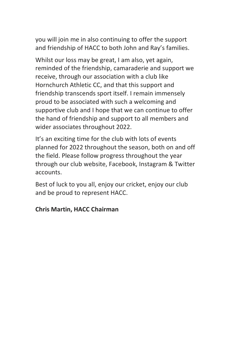you will join me in also continuing to offer the support and friendship of HACC to both John and Ray's families.

Whilst our loss may be great, I am also, yet again, reminded of the friendship, camaraderie and support we receive, through our association with a club like Hornchurch Athletic CC, and that this support and friendship transcends sport itself. I remain immensely proud to be associated with such a welcoming and supportive club and I hope that we can continue to offer the hand of friendship and support to all members and wider associates throughout 2022.

It's an exciting time for the club with lots of events planned for 2022 throughout the season, both on and off the field. Please follow progress throughout the year through our club website, Facebook, Instagram & Twitter accounts.

Best of luck to you all, enjoy our cricket, enjoy our club and be proud to represent HACC.

#### **Chris Martin, HACC Chairman**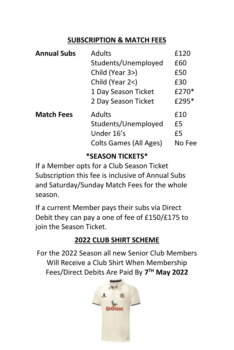### **SUBSCRIPTION & MATCH FEES**

| Adults                 | £120   |
|------------------------|--------|
| Students/Unemployed    | £60    |
| Child (Year 3>)        | £50    |
| Child (Year 2<)        | £30    |
| 1 Day Season Ticket    | £270*  |
| 2 Day Season Ticket    | £295*  |
| Adults                 | £10    |
| Students/Unemployed    | £5     |
| Under 16's             | £5     |
| Colts Games (All Ages) | No Fee |
|                        |        |

### **\*SEASON TICKETS\***

If a Member opts for a Club Season Ticket Subscription this fee is inclusive of Annual Subs and Saturday/Sunday Match Fees for the whole season.

If a current Member pays their subs via Direct Debit they can pay a one of fee of £150/£175 to join the Season Ticket.

### **2022 CLUB SHIRT SCHEME**

For the 2022 Season all new Senior Club Members Will Receive a Club Shirt When Membership Fees/Direct Debits Are Paid By **7 TH May 2022**

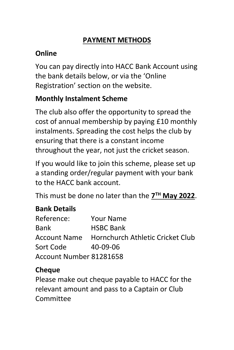### **PAYMENT METHODS**

### **Online**

You can pay directly into HACC Bank Account using the bank details below, or via the 'Online Registration' section on the website.

### **Monthly Instalment Scheme**

The club also offer the opportunity to spread the cost of annual membership by paying £10 monthly instalments. Spreading the cost helps the club by ensuring that there is a constant income throughout the year, not just the cricket season.

If you would like to join this scheme, please set up a standing order/regular payment with your bank to the HACC bank account.

This must be done no later than the **7 TH May 2022**.

### **Bank Details**

| Reference:              | Your Name                                     |  |  |  |  |
|-------------------------|-----------------------------------------------|--|--|--|--|
| Bank                    | <b>HSBC Bank</b>                              |  |  |  |  |
|                         | Account Name Hornchurch Athletic Cricket Club |  |  |  |  |
| Sort Code               | 40-09-06                                      |  |  |  |  |
| Account Number 81281658 |                                               |  |  |  |  |

### **Cheque**

Please make out cheque payable to HACC for the relevant amount and pass to a Captain or Club Committee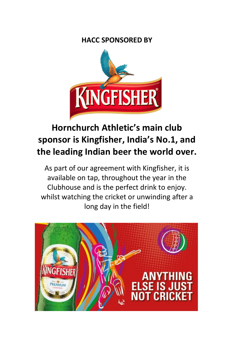### **HACC SPONSORED BY**



## **Hornchurch Athletic's main club sponsor is [Kingfisher,](https://kingfisherbeer.co.uk/welcome) India's No.1, and the leading Indian beer the world over.**

As part of our agreement with Kingfisher, it is available on tap, throughout the year in the Clubhouse and is the perfect drink to enjoy. whilst watching the cricket or unwinding after a long day in the field!

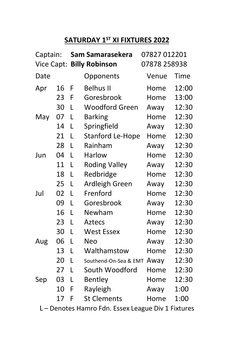### **SATURDAY 1ST XI FIXTURES 2022**

| Captain:   |    |   | Sam Samarasekera      | 07827 012201 |       |
|------------|----|---|-----------------------|--------------|-------|
| Vice Capt: |    |   | <b>Billy Robinson</b> | 07878 258938 |       |
| Date       |    |   | Opponents             | Venue        | Time  |
| Apr        | 16 | F | Belhus II             | Home         | 12:00 |
|            | 23 | F | Goresbrook            | Home         | 13:00 |
|            | 30 | L | Woodford Green        | Away         | 12:30 |
| May        | 07 | L | <b>Barking</b>        | Home         | 12:30 |
|            | 14 | L | Springfield           | Awav         | 12:30 |
|            | 21 | L | Stanford Le-Hope      | Home         | 12:30 |
|            | 28 | L | Rainham               | Away         | 12:30 |
| Jun        | 04 | L | Harlow                | Home         | 12:30 |
|            | 11 | L | <b>Roding Valley</b>  | Away         | 12:30 |
|            | 18 | L | Redbridge             | Home         | 12:30 |
|            | 25 | L | Ardleigh Green        | Away         | 12:30 |
| Jul        | 02 | L | Frenford              | Home         | 12:30 |
|            | 09 | L | Goresbrook            | Away         | 12:30 |
|            | 16 | L | Newham                | Home         | 12:30 |
|            | 23 | L | Aztecs                | Away         | 12:30 |
|            | 30 | L | <b>West Essex</b>     | Home         | 12:30 |
| Aug        | 06 | L | Neo                   | Away         | 12:30 |
|            | 13 | L | Walthamstow           | Home         | 12:30 |
|            | 20 | L | Southend-On-Sea & EMT | Away         | 12:30 |
|            | 27 | L | South Woodford        | Home         | 12:30 |
| Sep        | 03 | L | Bentley               | Home         | 12:30 |
|            | 10 | F | Rayleigh              | Away         | 1:00  |
|            | 17 | F | <b>St Clements</b>    | Home         | 1:00  |

L – Denotes Hamro Fdn. Essex League Div 1 Fixtures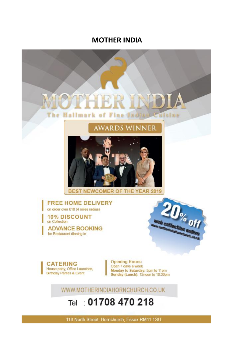### **MOTHER INDIA**



## Tel: 01708 470 218

118 North Street, Hornchurch, Essex RM11 1SU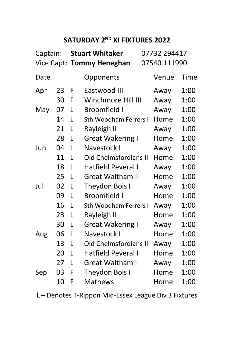### **SATURDAY 2ND XI FIXTURES 2022**

| Captain: |    | <b>Stuart Whitaker</b> |                           | 07732 294417 |              |      |
|----------|----|------------------------|---------------------------|--------------|--------------|------|
|          |    |                        | Vice Capt: Tommy Heneghan |              | 07540 111990 |      |
| Date     |    |                        | Opponents                 |              | Venue        | Time |
| Apr      | 23 | F                      | Eastwood III              |              | Away         | 1:00 |
|          | 30 | F                      | Winchmore Hill III        |              | Away         | 1:00 |
| May      | 07 | L                      | Broomfield I              |              | Away         | 1:00 |
|          | 14 | L                      | Sth Woodham Ferrers I     |              | Home         | 1:00 |
|          | 21 | L                      | Rayleigh II               |              | Away         | 1:00 |
|          | 28 | L                      | Great Wakering I          |              | Home         | 1:00 |
| Jun      | 04 | L                      | Navestock I               |              | Awav         | 1:00 |
|          | 11 | L                      | Old Chelmsfordians II     |              | Home         | 1:00 |
|          | 18 | L                      | Hatfield Peveral I        |              | Away         | 1:00 |
|          | 25 | L                      | <b>Great Waltham II</b>   |              | Home         | 1:00 |
| Jul      | 02 | L                      | Theydon Bois I            |              | Away         | 1:00 |
|          | 09 | L                      | Broomfield I              |              | Home         | 1:00 |
|          | 16 | L                      | Sth Woodham Ferrers I     |              | Away         | 1:00 |
|          | 23 | L                      | Rayleigh II               |              | Home         | 1:00 |
|          | 30 | L                      | Great Wakering I          |              | Away         | 1:00 |
| Aug      | 06 | L                      | Navestock I               |              | Home         | 1:00 |
|          | 13 | L                      | Old Chelmsfordians II     |              | Away         | 1:00 |
|          | 20 | L                      | Hatfield Peveral I        |              | Home         | 1:00 |
|          | 27 | L                      | Great Waltham II          |              | Away         | 1:00 |
| Sep      | 03 | F                      | Theydon Bois I            |              | Home         | 1:00 |
|          | 10 | F                      | Mathews                   |              | Home         | 1:00 |

L – Denotes T-Rippon Mid-Essex League Div 3 Fixtures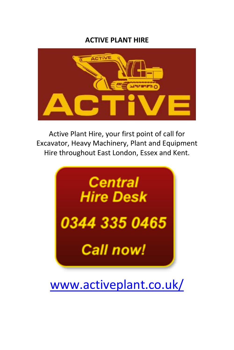### **ACTIVE PLANT HIRE**



Active Plant Hire, your first point of call for Excavator, Heavy Machinery, Plant and Equipment Hire throughout East London, Essex and Kent.



[www.activeplant.co.uk/](http://www.activeplant.co.uk/)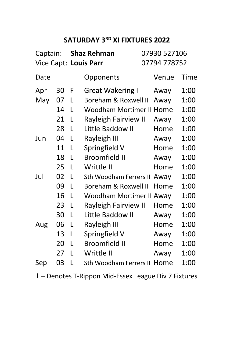### **SATURDAY 3RD XI FIXTURES 2022**

| Captain: |    | Shaz Rehman |                          | 07930 527106 |              |      |
|----------|----|-------------|--------------------------|--------------|--------------|------|
|          |    |             | Vice Capt: Louis Parr    |              | 07794 778752 |      |
| Date     |    |             | Opponents                |              | Venue        | Time |
| Apr      | 30 | F           | <b>Great Wakering I</b>  |              | Away         | 1:00 |
| May      | 07 | L           | Boreham & Roxwell II     |              | Away         | 1:00 |
|          | 14 | L           | Woodham Mortimer II Home |              |              | 1:00 |
|          | 21 | L           | Rayleigh Fairview II     |              | Away         | 1:00 |
|          | 28 | L           | Little Baddow II         |              | Home         | 1:00 |
| Jun      | 04 | L           | Rayleigh III             |              | Away         | 1:00 |
|          | 11 | L           | Springfield V            |              | Home         | 1:00 |
|          | 18 | L           | <b>Broomfield II</b>     |              | Away         | 1:00 |
|          | 25 | L           | Writtle II               |              | Home         | 1:00 |
| Jul      | 02 | L           | Sth Woodham Ferrers II   |              | Awav         | 1:00 |
|          | 09 | L           | Boreham & Roxwell II     |              | Home         | 1:00 |
|          | 16 | L           | Woodham Mortimer II Away |              |              | 1:00 |
|          | 23 | L           | Rayleigh Fairview II     |              | Home         | 1:00 |
|          | 30 | L           | Little Baddow II         |              | Away         | 1:00 |
| Aug      | 06 | L           | Rayleigh III             |              | Home         | 1:00 |
|          | 13 | L           | Springfield V            |              | Away         | 1:00 |
|          | 20 | L           | <b>Broomfield II</b>     |              | Home         | 1:00 |
|          | 27 | L           | Writtle II               |              | Away         | 1:00 |
| Sep      | 03 | L           | Sth Woodham Ferrers II   |              | Home         | 1:00 |

L – Denotes T-Rippon Mid-Essex League Div 7 Fixtures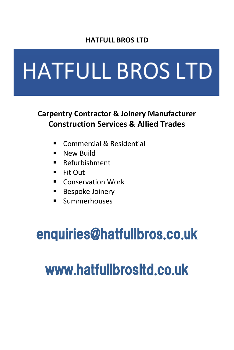### **HATFULL BROS LTD**

# **HATFULL BROS LTD**

### **Carpentry Contractor & Joinery Manufacturer Construction Services & Allied Trades**

- Commercial & Residential
- **E** New Build
- Refurbishment
- Fit Out
- Conservation Work
- Bespoke Joinery
- Summerhouses

# enquiries@hatfullbros.co.uk

# www.hatfullbrosltd.co.uk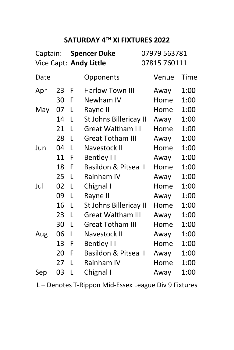### **SATURDAY 4 TH XI FIXTURES 2022**

| Captain: |    | <b>Spencer Duke</b><br>Vice Capt: Andy Little |                          | 07979 563781<br>07815 760111 |       |      |
|----------|----|-----------------------------------------------|--------------------------|------------------------------|-------|------|
| Date     |    |                                               | Opponents                |                              | Venue | Time |
| Apr      | 23 | F                                             | Harlow Town III          |                              | Away  | 1:00 |
|          | 30 | F                                             | Newham IV                |                              | Home  | 1:00 |
| May      | 07 | L                                             | Rayne II                 |                              | Home  | 1:00 |
|          | 14 | L                                             | St Johns Billericay II   |                              | Away  | 1:00 |
|          | 21 | L                                             | <b>Great Waltham III</b> |                              | Home  | 1:00 |
|          | 28 | L                                             | <b>Great Totham III</b>  |                              | Away  | 1:00 |
| Jun      | 04 | L                                             | Navestock II             |                              | Home  | 1:00 |
|          | 11 | F                                             | <b>Bentley III</b>       |                              | Away  | 1:00 |
|          | 18 | F                                             | Basildon & Pitsea III    |                              | Home  | 1:00 |
|          | 25 | L                                             | Rainham IV               |                              | Away  | 1:00 |
| Jul      | 02 | L                                             | Chignal I                |                              | Home  | 1:00 |
|          | 09 | L                                             | Rayne II                 |                              | Away  | 1:00 |
|          | 16 | L                                             | St Johns Billericay II   |                              | Home  | 1:00 |
|          | 23 | L                                             | <b>Great Waltham III</b> |                              | Awav  | 1:00 |
|          | 30 | L                                             | Great Totham III         |                              | Home  | 1:00 |
| Aug      | 06 | L                                             | Navestock II             |                              | Awav  | 1:00 |
|          | 13 | F                                             | <b>Bentley III</b>       |                              | Home  | 1:00 |
|          | 20 | F                                             | Basildon & Pitsea III    |                              | Away  | 1:00 |
|          | 27 | L                                             | Rainham IV               |                              | Home  | 1:00 |
| Sep      | 03 | L                                             | Chignal I                |                              | Away  | 1:00 |

L – Denotes T-Rippon Mid-Essex League Div 9 Fixtures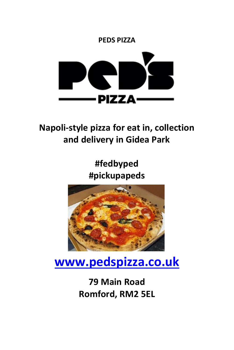

## **Napoli-style pizza for eat in, collection and delivery in Gidea Park**

**#fedbyped #pickupapeds**



# **[www.pedspizza.co.uk](http://www.pedspizza.co.uk/)**

## **79 Main Road Romford, RM2 5EL**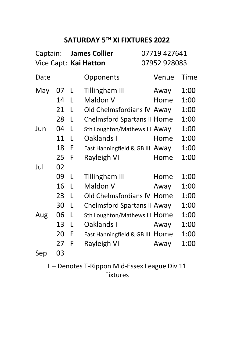### **SATURDAY 5 TH XI FIXTURES 2022**

| Captain: |    |   | <b>James Collier</b>            | 07719 427641 |      |
|----------|----|---|---------------------------------|--------------|------|
|          |    |   | Vice Capt: Kai Hatton           | 07952 928083 |      |
| Date     |    |   | Opponents                       | Venue        | Time |
| May      | 07 | L | Tillingham III                  | Away         | 1:00 |
|          | 14 | L | Maldon V                        | Home         | 1:00 |
|          | 21 | L | Old Chelmsfordians IV Away      |              | 1:00 |
|          | 28 | L | Chelmsford Spartans II Home     |              | 1:00 |
| Jun      | 04 | L | Sth Loughton/Mathews III Away   |              | 1:00 |
|          | 11 | L | Oaklands I                      | Home         | 1:00 |
|          | 18 | F | East Hanningfield & GB III Away |              | 1:00 |
|          | 25 | F | Rayleigh VI                     | Home         | 1:00 |
| Jul      | 02 |   |                                 |              |      |
|          | 09 | L | Tillingham III                  | Home         | 1:00 |
|          | 16 | L | Maldon V                        | Away         | 1:00 |
|          | 23 | L | Old Chelmsfordians IV Home      |              | 1:00 |
|          | 30 | L | Chelmsford Spartans II Away     |              | 1:00 |
| Aug      | 06 | L | Sth Loughton/Mathews III Home   |              | 1:00 |
|          | 13 | L | Oaklands I                      | Awav         | 1:00 |
|          | 20 | F | East Hanningfield & GB III Home |              | 1:00 |
|          | 27 | F | Rayleigh VI                     | Away         | 1:00 |
| Sep      | 03 |   |                                 |              |      |

L – Denotes T-Rippon Mid-Essex League Div 11 Fixtures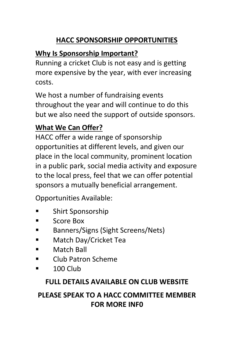### **HACC SPONSORSHIP OPPORTUNITIES**

### **Why Is Sponsorship Important?**

Running a cricket Club is not easy and is getting more expensive by the year, with ever increasing costs.

We host a number of fundraising events throughout the year and will continue to do this but we also need the support of outside sponsors.

### **What We Can Offer?**

HACC offer a wide range of sponsorship opportunities at different levels, and given our place in the local community, prominent location in a public park, social media activity and exposure to the local press, feel that we can offer potential sponsors a mutually beneficial arrangement.

Opportunities Available:

- Shirt Sponsorship
- Score Box
- Banners/Signs (Sight Screens/Nets)
- Match Day/Cricket Tea
- Match Ball
- Club Patron Scheme
- 100 Club

### **FULL DETAILS AVAILABLE ON CLUB WEBSITE**

### **PLEASE SPEAK TO A HACC COMMITTEE MEMBER FOR MORE INF0**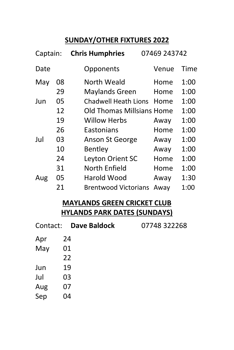### **SUNDAY/OTHER FIXTURES 2022**

| Captain: |    | <b>Chris Humphries</b>      | 07469 243742 |      |
|----------|----|-----------------------------|--------------|------|
| Date     |    | Opponents                   | Venue        | Time |
| May      | 08 | North Weald                 | Home         | 1:00 |
|          | 29 | Maylands Green              | Home         | 1:00 |
| Jun      | 05 | Chadwell Heath Lions        | Home         | 1:00 |
|          | 12 | Old Thomas Millsians Home   |              | 1:00 |
|          | 19 | Willow Herbs                | Away         | 1:00 |
|          | 26 | Eastonians                  | Home         | 1:00 |
| Jul      | 03 | Anson St George             | Away         | 1:00 |
|          | 10 | Bentley                     | Away         | 1:00 |
|          | 24 | Leyton Orient SC            | Home         | 1:00 |
|          | 31 | North Enfield               | Home         | 1:00 |
| Aug      | 05 | Harold Wood                 | Awav         | 1:30 |
|          | 21 | <b>Brentwood Victorians</b> | Awav         | 1:00 |

### **MAYLANDS GREEN CRICKET CLUB HYLANDS PARK DATES (SUNDAYS)**

| Contact: | Dave Baldock | 07748 322268 |
|----------|--------------|--------------|
| Apr      | 24           |              |
| May      | 01           |              |
|          | 22           |              |
| Jun      | 19           |              |
| Jul      | 03           |              |
| Aug      | 07           |              |
| Sep      | 04           |              |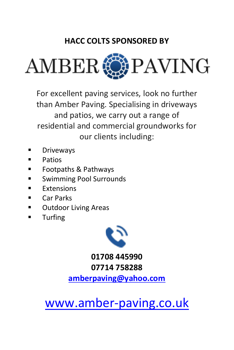### **HACC COLTS SPONSORED BY**



For excellent paving services, look no further than Amber Paving. Specialising in driveways and patios, we carry out a range of residential and commercial groundworks for our clients including:

- **Driveways**
- Patios
- Footpaths & Pathways
- Swimming Pool Surrounds
- **■** Extensions
- Car Parks
- Outdoor Living Areas
- Turfing



**01708 445990 07714 758288**

**[amberpaving@yahoo.com](mailto:amberpaving@yahoo.com)**

[www.amber-paving.co.uk](http://www.amber-paving.co.uk/)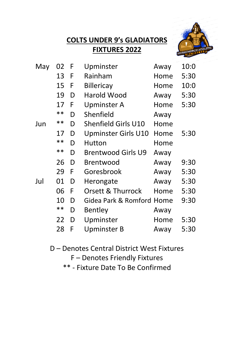### **COLTS UNDER 9's GLADIATORS FIXTURES 2022**



| May | 02    | F | Upminster                 | Away | 10:0 |
|-----|-------|---|---------------------------|------|------|
|     | 13    | F | Rainham                   | Home | 5:30 |
|     | 15    | F | Billericay                | Home | 10:0 |
|     | 19    | D | Harold Wood               | Away | 5:30 |
|     | 17    | F | Upminster A               | Home | 5:30 |
|     | **    | D | Shenfield                 | Away |      |
| Jun | **    | D | Shenfield Girls U10       | Home |      |
|     | 17    | D | Upminster Girls U10       | Home | 5:30 |
|     | $* *$ | D | Hutton                    | Home |      |
|     | **    | D | <b>Brentwood Girls U9</b> | Away |      |
|     | 26    | D | Brentwood                 | Away | 9:30 |
|     | 29    | F | Goresbrook                | Away | 5:30 |
| Jul | 01    | D | Herongate                 | Away | 5:30 |
|     | 06    | F | Orsett & Thurrock         | Home | 5:30 |
|     | 10    | D | Gidea Park & Romford Home |      | 9:30 |
|     | **    | D | Bentley                   | Away |      |
|     | 22    | D | Upminster                 | Home | 5:30 |
|     | 28    | F | Upminster B               | Away | 5:30 |

D – Denotes Central District West Fixtures

F – Denotes Friendly Fixtures

\*\* - Fixture Date To Be Confirmed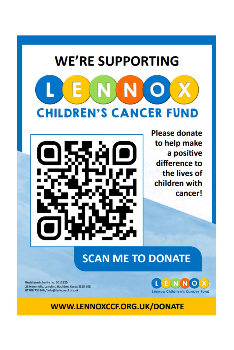# **WE'RE SUPPORTING** ENNOX **CHILDREN'S CANCER FUND**

**Please donate** to help make a positive difference to the lives of children with cancer!

## **SCAN ME TO DONATE**

Registered charity no. 1011325 26 Hemmells, Laindon, Basildon, Essex SS15 6ED<br>01708 734366 / info@lennoxccf.org.uk



WWW.LENNOXCCF.ORG.UK/DONATE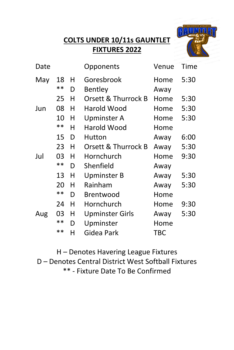### **COLTS UNDER 10/11s GAUNTLET FIXTURES 2022**



| Date |       |   | Opponents           | Venue | Time |
|------|-------|---|---------------------|-------|------|
| May  | 18    | н | Goresbrook          | Home  | 5:30 |
|      | **    | D | Bentley             | Away  |      |
|      | 25    | н | Orsett & Thurrock B | Home  | 5:30 |
| Jun  | 08    | н | Harold Wood         | Home  | 5:30 |
|      | 10    | н | Upminster A         | Home  | 5:30 |
|      | $* *$ | н | Harold Wood         | Home  |      |
|      | 15    | D | Hutton              | Away  | 6:00 |
|      | 23    | н | Orsett & Thurrock B | Away  | 5:30 |
| Jul  | 03    | н | Hornchurch          | Home  | 9:30 |
|      | **    | D | Shenfield           | Away  |      |
|      | 13    | н | Upminster B         | Away  | 5:30 |
|      | 20    | н | Rainham             | Away  | 5:30 |
|      | $* *$ | D | Brentwood           | Home  |      |
|      | 24    | н | Hornchurch          | Home  | 9:30 |
| Aug  | 03    | н | Upminster Girls     | Away  | 5:30 |
|      | **    | D | Upminster           | Home  |      |
|      | $**$  | н | Gidea Park          | TBC   |      |

H – Denotes Havering League Fixtures D – Denotes Central District West Softball Fixtures \*\* - Fixture Date To Be Confirmed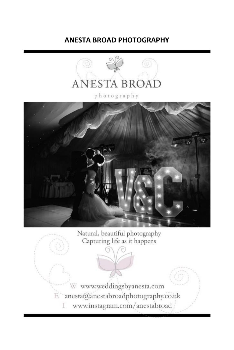### **ANESTA BROAD PHOTOGRAPHY**



photography



Natural, beautiful photography Capturing life as it happens

W www.weddingsbyanesta.com E anesta@anestabroadphotography.co.uk www.instagram.com/anestabroad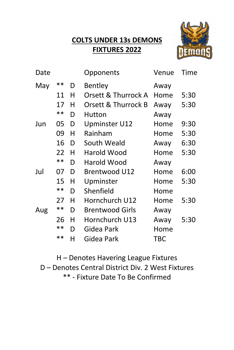### **COLTS UNDER 13s DEMONS FIXTURES 2022**



| Date |       |   | Opponents              | Venue | Time |
|------|-------|---|------------------------|-------|------|
| May  | **    | D | Bentley                | Away  |      |
|      | 11    | н | Orsett & Thurrock A    | Home  | 5:30 |
|      | 17    | н | Orsett & Thurrock B    | Away  | 5:30 |
|      | **    | D | Hutton                 | Away  |      |
| Jun  | 05    | D | Upminster U12          | Home  | 9:30 |
|      | 09    | н | Rainham                | Home  | 5:30 |
|      | 16    | D | South Weald            | Away  | 6:30 |
|      | 22    | н | Harold Wood            | Home  | 5:30 |
|      | $* *$ | D | Harold Wood            | Away  |      |
| Jul  | 07    | D | Brentwood U12          | Home  | 6:00 |
|      | 15    | н | Upminster              | Home  | 5:30 |
|      | $* *$ | D | Shenfield              | Home  |      |
|      | 27    | н | Hornchurch U12         | Home  | 5:30 |
| Aug  | **    | D | <b>Brentwood Girls</b> | Away  |      |
|      | 26    | н | Hornchurch U13         | Away  | 5:30 |
|      | **    | D | Gidea Park             | Home  |      |
|      | $**$  | н | Gidea Park             | TBC   |      |

H – Denotes Havering League Fixtures D – Denotes Central District Div. 2 West Fixtures \*\* - Fixture Date To Be Confirmed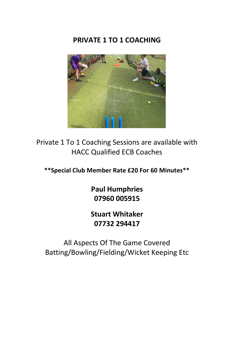### **PRIVATE 1 TO 1 COACHING**



Private 1 To 1 Coaching Sessions are available with HACC Qualified ECB Coaches

**\*\*Special Club Member Rate £20 For 60 Minutes\*\***

**Paul Humphries 07960 005915**

**Stuart Whitaker 07732 294417**

All Aspects Of The Game Covered Batting/Bowling/Fielding/Wicket Keeping Etc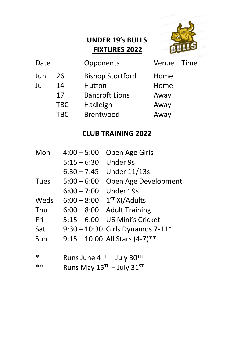### **UNDER 19's BULLS FIXTURES 2022**



| Date |            | Opponents               | Venue | Time |
|------|------------|-------------------------|-------|------|
| Jun  | 26         | <b>Bishop Stortford</b> | Home  |      |
| Jul  | 14         | Hutton                  | Home  |      |
|      | 17         | <b>Bancroft Lions</b>   | Away  |      |
|      | <b>TBC</b> | Hadleigh                | Away  |      |
|      | <b>TBC</b> | Brentwood               | Away  |      |
|      |            |                         |       |      |

### **CLUB TRAINING 2022**

| Mon    | $4:00 - 5:00$               | Open Age Girls                   |  |
|--------|-----------------------------|----------------------------------|--|
|        | $5:15 - 6:30$               | Under 9s                         |  |
|        | $6:30 - 7:45$               | <b>Under 11/13s</b>              |  |
| Tues   | $5:00 - 6:00$               | Open Age Development             |  |
|        | 6:00 – 7:00                 | Under 19s                        |  |
| Weds   | $6:00 - 8:00$               | $1ST$ XI/Adults                  |  |
| Thu    | $6:00 - 8:00$               | <b>Adult Training</b>            |  |
| Fri    | $5:15 - 6:00$               | U6 Mini's Cricket                |  |
| Sat    |                             | 9:30 - 10:30 Girls Dynamos 7-11* |  |
| Sun    |                             | $9:15 - 10:00$ All Stars (4-7)** |  |
|        |                             |                                  |  |
| $\ast$ | Runs June $4TH - July 30TH$ |                                  |  |
| **     | Runs May $15TH - July 31ST$ |                                  |  |